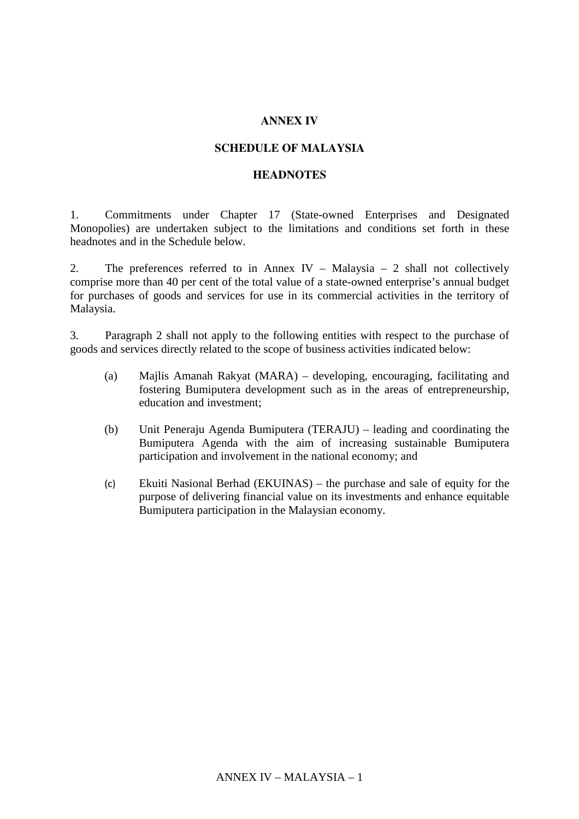## **ANNEX IV**

## **SCHEDULE OF MALAYSIA**

## **HEADNOTES**

1. Commitments under Chapter 17 (State-owned Enterprises and Designated Monopolies) are undertaken subject to the limitations and conditions set forth in these headnotes and in the Schedule below.

2. The preferences referred to in Annex IV – Malaysia – 2 shall not collectively comprise more than 40 per cent of the total value of a state-owned enterprise's annual budget for purchases of goods and services for use in its commercial activities in the territory of Malaysia.

3. Paragraph 2 shall not apply to the following entities with respect to the purchase of goods and services directly related to the scope of business activities indicated below:

- (a) Majlis Amanah Rakyat (MARA) developing, encouraging, facilitating and fostering Bumiputera development such as in the areas of entrepreneurship, education and investment;
- (b) Unit Peneraju Agenda Bumiputera (TERAJU) leading and coordinating the Bumiputera Agenda with the aim of increasing sustainable Bumiputera participation and involvement in the national economy; and
- (c) Ekuiti Nasional Berhad (EKUINAS) the purchase and sale of equity for the purpose of delivering financial value on its investments and enhance equitable Bumiputera participation in the Malaysian economy.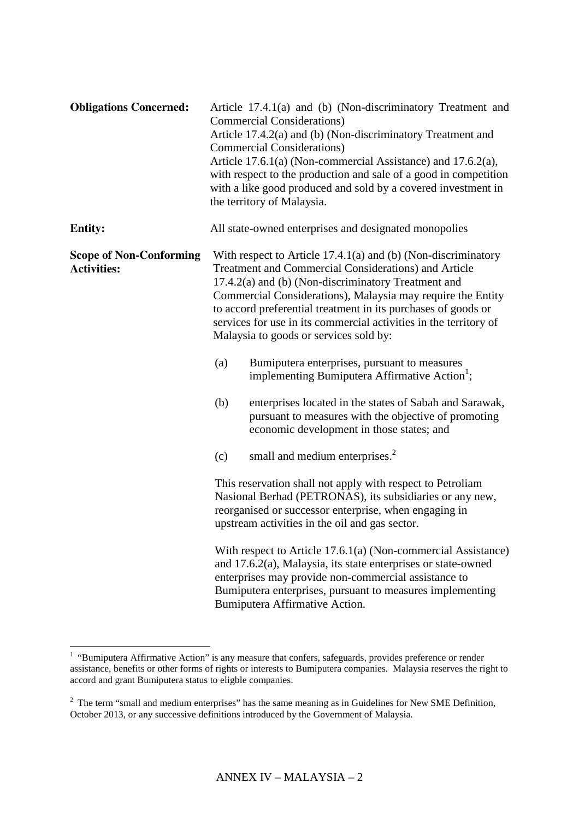| <b>Obligations Concerned:</b>                        |                                                                                                                                                                                                                                   | Article 17.4.1(a) and (b) (Non-discriminatory Treatment and<br><b>Commercial Considerations)</b><br>Article 17.4.2(a) and (b) (Non-discriminatory Treatment and<br><b>Commercial Considerations)</b><br>Article 17.6.1(a) (Non-commercial Assistance) and 17.6.2(a),<br>with respect to the production and sale of a good in competition<br>with a like good produced and sold by a covered investment in<br>the territory of Malaysia. |  |
|------------------------------------------------------|-----------------------------------------------------------------------------------------------------------------------------------------------------------------------------------------------------------------------------------|-----------------------------------------------------------------------------------------------------------------------------------------------------------------------------------------------------------------------------------------------------------------------------------------------------------------------------------------------------------------------------------------------------------------------------------------|--|
| <b>Entity:</b>                                       |                                                                                                                                                                                                                                   | All state-owned enterprises and designated monopolies                                                                                                                                                                                                                                                                                                                                                                                   |  |
| <b>Scope of Non-Conforming</b><br><b>Activities:</b> |                                                                                                                                                                                                                                   | With respect to Article $17.4.1(a)$ and (b) (Non-discriminatory<br>Treatment and Commercial Considerations) and Article<br>17.4.2(a) and (b) (Non-discriminatory Treatment and<br>Commercial Considerations), Malaysia may require the Entity<br>to accord preferential treatment in its purchases of goods or<br>services for use in its commercial activities in the territory of<br>Malaysia to goods or services sold by:           |  |
|                                                      | (a)                                                                                                                                                                                                                               | Bumiputera enterprises, pursuant to measures<br>implementing Bumiputera Affirmative Action <sup>1</sup> ;                                                                                                                                                                                                                                                                                                                               |  |
|                                                      | (b)                                                                                                                                                                                                                               | enterprises located in the states of Sabah and Sarawak,<br>pursuant to measures with the objective of promoting<br>economic development in those states; and                                                                                                                                                                                                                                                                            |  |
|                                                      | (c)                                                                                                                                                                                                                               | small and medium enterprises. <sup>2</sup>                                                                                                                                                                                                                                                                                                                                                                                              |  |
|                                                      | This reservation shall not apply with respect to Petroliam<br>Nasional Berhad (PETRONAS), its subsidiaries or any new,<br>reorganised or successor enterprise, when engaging in<br>upstream activities in the oil and gas sector. |                                                                                                                                                                                                                                                                                                                                                                                                                                         |  |
|                                                      |                                                                                                                                                                                                                                   | With respect to Article 17.6.1(a) (Non-commercial Assistance)<br>and $17.6.2(a)$ , Malaysia, its state enterprises or state-owned<br>enterprises may provide non-commercial assistance to<br>Bumiputera enterprises, pursuant to measures implementing<br>Bumiputera Affirmative Action.                                                                                                                                                |  |

 1 "Bumiputera Affirmative Action" is any measure that confers, safeguards, provides preference or render assistance, benefits or other forms of rights or interests to Bumiputera companies. Malaysia reserves the right to accord and grant Bumiputera status to eligble companies.

 $2$  The term "small and medium enterprises" has the same meaning as in Guidelines for New SME Definition, October 2013, or any successive definitions introduced by the Government of Malaysia.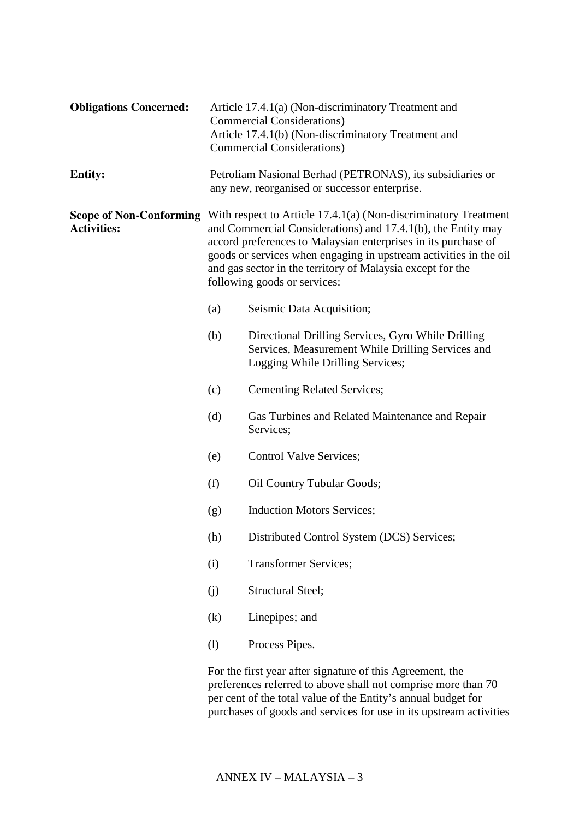| <b>Obligations Concerned:</b> |                                                                                                                                                                                                                                                                                                                                                                                                     | Article 17.4.1(a) (Non-discriminatory Treatment and<br><b>Commercial Considerations</b> )<br>Article 17.4.1(b) (Non-discriminatory Treatment and<br><b>Commercial Considerations)</b>       |  |  |
|-------------------------------|-----------------------------------------------------------------------------------------------------------------------------------------------------------------------------------------------------------------------------------------------------------------------------------------------------------------------------------------------------------------------------------------------------|---------------------------------------------------------------------------------------------------------------------------------------------------------------------------------------------|--|--|
| <b>Entity:</b>                |                                                                                                                                                                                                                                                                                                                                                                                                     | Petroliam Nasional Berhad (PETRONAS), its subsidiaries or<br>any new, reorganised or successor enterprise.                                                                                  |  |  |
| <b>Activities:</b>            | <b>Scope of Non-Conforming</b> With respect to Article 17.4.1(a) (Non-discriminatory Treatment<br>and Commercial Considerations) and 17.4.1(b), the Entity may<br>accord preferences to Malaysian enterprises in its purchase of<br>goods or services when engaging in upstream activities in the oil<br>and gas sector in the territory of Malaysia except for the<br>following goods or services: |                                                                                                                                                                                             |  |  |
|                               | (a)                                                                                                                                                                                                                                                                                                                                                                                                 | Seismic Data Acquisition;                                                                                                                                                                   |  |  |
|                               | (b)                                                                                                                                                                                                                                                                                                                                                                                                 | Directional Drilling Services, Gyro While Drilling<br>Services, Measurement While Drilling Services and<br>Logging While Drilling Services;                                                 |  |  |
|                               | (c)                                                                                                                                                                                                                                                                                                                                                                                                 | <b>Cementing Related Services;</b>                                                                                                                                                          |  |  |
|                               | (d)                                                                                                                                                                                                                                                                                                                                                                                                 | Gas Turbines and Related Maintenance and Repair<br>Services;                                                                                                                                |  |  |
|                               | (e)                                                                                                                                                                                                                                                                                                                                                                                                 | Control Valve Services;                                                                                                                                                                     |  |  |
|                               | (f)                                                                                                                                                                                                                                                                                                                                                                                                 | <b>Oil Country Tubular Goods;</b>                                                                                                                                                           |  |  |
|                               | (g)                                                                                                                                                                                                                                                                                                                                                                                                 | <b>Induction Motors Services;</b>                                                                                                                                                           |  |  |
|                               | (h)                                                                                                                                                                                                                                                                                                                                                                                                 | Distributed Control System (DCS) Services;                                                                                                                                                  |  |  |
|                               | (i)                                                                                                                                                                                                                                                                                                                                                                                                 | <b>Transformer Services;</b>                                                                                                                                                                |  |  |
|                               | (j)                                                                                                                                                                                                                                                                                                                                                                                                 | Structural Steel;                                                                                                                                                                           |  |  |
|                               | (k)                                                                                                                                                                                                                                                                                                                                                                                                 | Linepipes; and                                                                                                                                                                              |  |  |
|                               | (1)                                                                                                                                                                                                                                                                                                                                                                                                 | Process Pipes.                                                                                                                                                                              |  |  |
|                               |                                                                                                                                                                                                                                                                                                                                                                                                     | For the first year after signature of this Agreement, the<br>preferences referred to above shall not comprise more than 70<br>per cent of the total value of the Entity's annual budget for |  |  |

purchases of goods and services for use in its upstream activities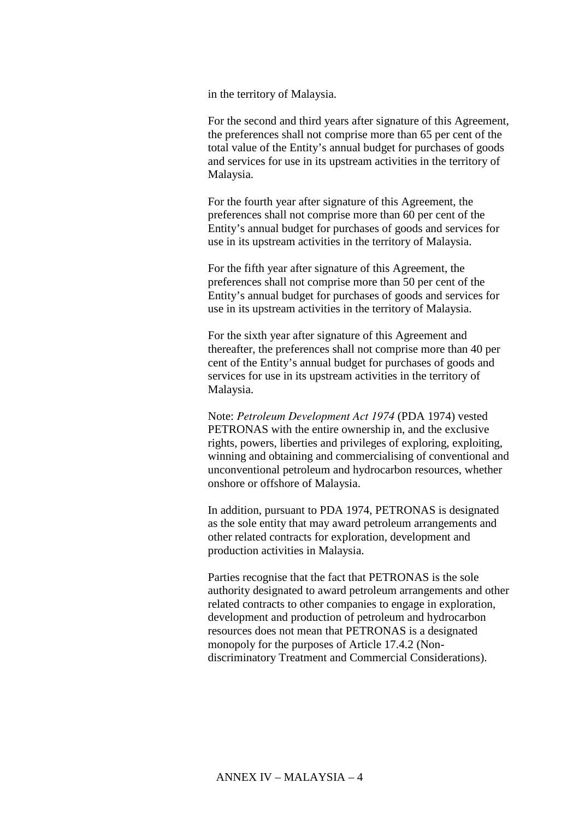in the territory of Malaysia.

For the second and third years after signature of this Agreement, the preferences shall not comprise more than 65 per cent of the total value of the Entity's annual budget for purchases of goods and services for use in its upstream activities in the territory of Malaysia.

For the fourth year after signature of this Agreement, the preferences shall not comprise more than 60 per cent of the Entity's annual budget for purchases of goods and services for use in its upstream activities in the territory of Malaysia.

For the fifth year after signature of this Agreement, the preferences shall not comprise more than 50 per cent of the Entity's annual budget for purchases of goods and services for use in its upstream activities in the territory of Malaysia.

For the sixth year after signature of this Agreement and thereafter, the preferences shall not comprise more than 40 per cent of the Entity's annual budget for purchases of goods and services for use in its upstream activities in the territory of Malaysia.

Note: *Petroleum Development Act 1974* (PDA 1974) vested PETRONAS with the entire ownership in, and the exclusive rights, powers, liberties and privileges of exploring, exploiting, winning and obtaining and commercialising of conventional and unconventional petroleum and hydrocarbon resources, whether onshore or offshore of Malaysia.

In addition, pursuant to PDA 1974, PETRONAS is designated as the sole entity that may award petroleum arrangements and other related contracts for exploration, development and production activities in Malaysia.

Parties recognise that the fact that PETRONAS is the sole authority designated to award petroleum arrangements and other related contracts to other companies to engage in exploration, development and production of petroleum and hydrocarbon resources does not mean that PETRONAS is a designated monopoly for the purposes of Article 17.4.2 (Nondiscriminatory Treatment and Commercial Considerations).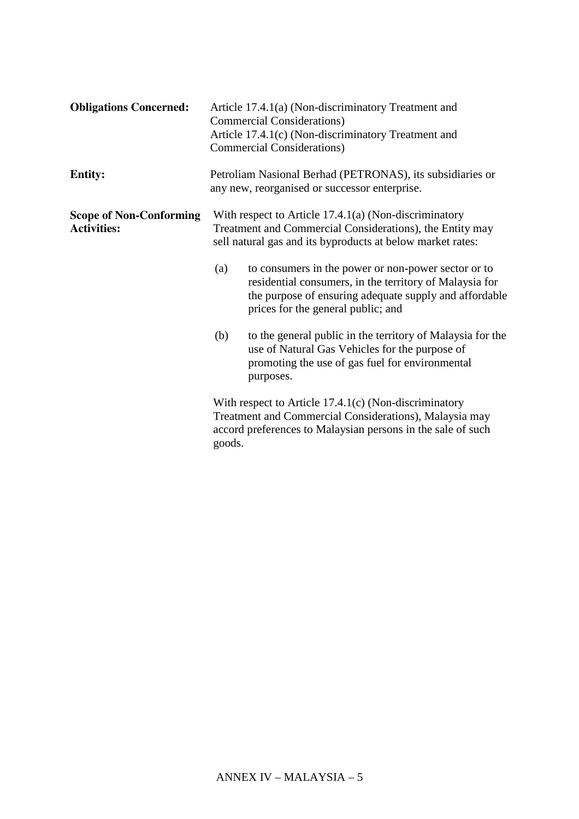| <b>Obligations Concerned:</b>                        | Article 17.4.1(a) (Non-discriminatory Treatment and<br><b>Commercial Considerations</b> )<br>Article 17.4.1(c) (Non-discriminatory Treatment and<br><b>Commercial Considerations</b> )                                |  |
|------------------------------------------------------|-----------------------------------------------------------------------------------------------------------------------------------------------------------------------------------------------------------------------|--|
| <b>Entity:</b>                                       | Petroliam Nasional Berhad (PETRONAS), its subsidiaries or<br>any new, reorganised or successor enterprise.                                                                                                            |  |
| <b>Scope of Non-Conforming</b><br><b>Activities:</b> | With respect to Article $17.4.1(a)$ (Non-discriminatory<br>Treatment and Commercial Considerations), the Entity may<br>sell natural gas and its byproducts at below market rates:                                     |  |
|                                                      | to consumers in the power or non-power sector or to<br>(a)<br>residential consumers, in the territory of Malaysia for<br>the purpose of ensuring adequate supply and affordable<br>prices for the general public; and |  |
|                                                      | (b)<br>to the general public in the territory of Malaysia for the<br>use of Natural Gas Vehicles for the purpose of<br>promoting the use of gas fuel for environmental<br>purposes.                                   |  |
|                                                      | With respect to Article $17.4.1(c)$ (Non-discriminatory<br>Treatment and Commercial Considerations), Malaysia may<br>accord preferences to Malaysian persons in the sale of such<br>goods.                            |  |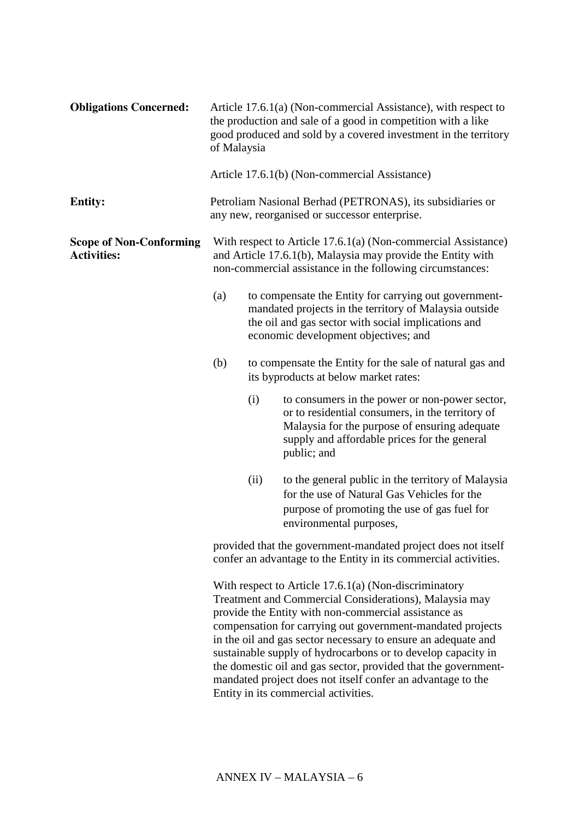| <b>Obligations Concerned:</b>                        | of Malaysia                                                                                                                                                                                                                                                                                                                                                                                                                                                                                                                                       |                                               | Article 17.6.1(a) (Non-commercial Assistance), with respect to<br>the production and sale of a good in competition with a like<br>good produced and sold by a covered investment in the territory                  |  |  |  |
|------------------------------------------------------|---------------------------------------------------------------------------------------------------------------------------------------------------------------------------------------------------------------------------------------------------------------------------------------------------------------------------------------------------------------------------------------------------------------------------------------------------------------------------------------------------------------------------------------------------|-----------------------------------------------|--------------------------------------------------------------------------------------------------------------------------------------------------------------------------------------------------------------------|--|--|--|
|                                                      |                                                                                                                                                                                                                                                                                                                                                                                                                                                                                                                                                   | Article 17.6.1(b) (Non-commercial Assistance) |                                                                                                                                                                                                                    |  |  |  |
| <b>Entity:</b>                                       |                                                                                                                                                                                                                                                                                                                                                                                                                                                                                                                                                   |                                               | Petroliam Nasional Berhad (PETRONAS), its subsidiaries or<br>any new, reorganised or successor enterprise.                                                                                                         |  |  |  |
| <b>Scope of Non-Conforming</b><br><b>Activities:</b> | With respect to Article 17.6.1(a) (Non-commercial Assistance)<br>and Article 17.6.1(b), Malaysia may provide the Entity with<br>non-commercial assistance in the following circumstances:                                                                                                                                                                                                                                                                                                                                                         |                                               |                                                                                                                                                                                                                    |  |  |  |
|                                                      | (a)<br>to compensate the Entity for carrying out government-<br>mandated projects in the territory of Malaysia outside<br>the oil and gas sector with social implications and<br>economic development objectives; and                                                                                                                                                                                                                                                                                                                             |                                               |                                                                                                                                                                                                                    |  |  |  |
|                                                      | (b)                                                                                                                                                                                                                                                                                                                                                                                                                                                                                                                                               |                                               | to compensate the Entity for the sale of natural gas and<br>its byproducts at below market rates:                                                                                                                  |  |  |  |
|                                                      |                                                                                                                                                                                                                                                                                                                                                                                                                                                                                                                                                   | (i)                                           | to consumers in the power or non-power sector,<br>or to residential consumers, in the territory of<br>Malaysia for the purpose of ensuring adequate<br>supply and affordable prices for the general<br>public; and |  |  |  |
|                                                      |                                                                                                                                                                                                                                                                                                                                                                                                                                                                                                                                                   | (ii)                                          | to the general public in the territory of Malaysia<br>for the use of Natural Gas Vehicles for the<br>purpose of promoting the use of gas fuel for<br>environmental purposes,                                       |  |  |  |
|                                                      | provided that the government-mandated project does not itself<br>confer an advantage to the Entity in its commercial activities.                                                                                                                                                                                                                                                                                                                                                                                                                  |                                               |                                                                                                                                                                                                                    |  |  |  |
|                                                      | With respect to Article $17.6.1(a)$ (Non-discriminatory<br>Treatment and Commercial Considerations), Malaysia may<br>provide the Entity with non-commercial assistance as<br>compensation for carrying out government-mandated projects<br>in the oil and gas sector necessary to ensure an adequate and<br>sustainable supply of hydrocarbons or to develop capacity in<br>the domestic oil and gas sector, provided that the government-<br>mandated project does not itself confer an advantage to the<br>Entity in its commercial activities. |                                               |                                                                                                                                                                                                                    |  |  |  |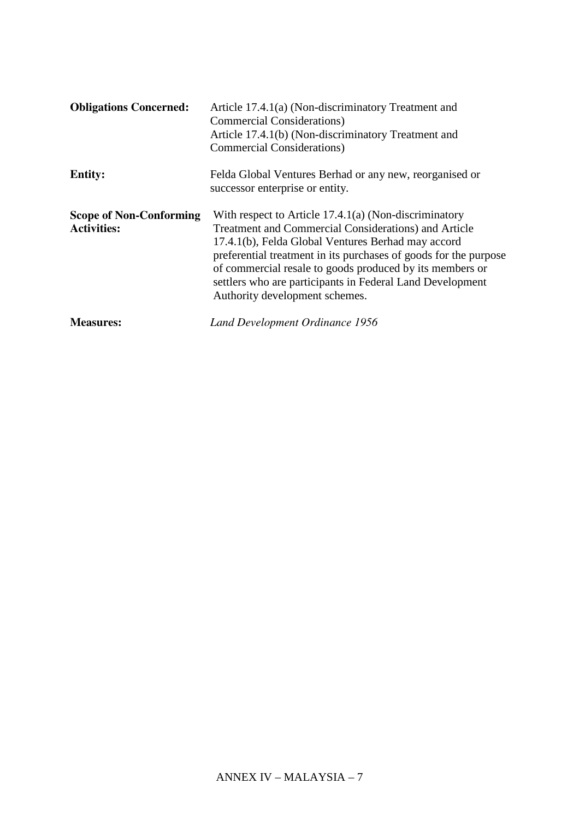| <b>Obligations Concerned:</b>                        | Article 17.4.1(a) (Non-discriminatory Treatment and<br><b>Commercial Considerations</b> )<br>Article 17.4.1(b) (Non-discriminatory Treatment and<br><b>Commercial Considerations</b> )                                                                                                                                                                                                                    |
|------------------------------------------------------|-----------------------------------------------------------------------------------------------------------------------------------------------------------------------------------------------------------------------------------------------------------------------------------------------------------------------------------------------------------------------------------------------------------|
| <b>Entity:</b>                                       | Felda Global Ventures Berhad or any new, reorganised or<br>successor enterprise or entity.                                                                                                                                                                                                                                                                                                                |
| <b>Scope of Non-Conforming</b><br><b>Activities:</b> | With respect to Article 17.4.1(a) (Non-discriminatory<br><b>Treatment and Commercial Considerations) and Article</b><br>17.4.1(b), Felda Global Ventures Berhad may accord<br>preferential treatment in its purchases of goods for the purpose<br>of commercial resale to goods produced by its members or<br>settlers who are participants in Federal Land Development<br>Authority development schemes. |
| <b>Measures:</b>                                     | Land Development Ordinance 1956                                                                                                                                                                                                                                                                                                                                                                           |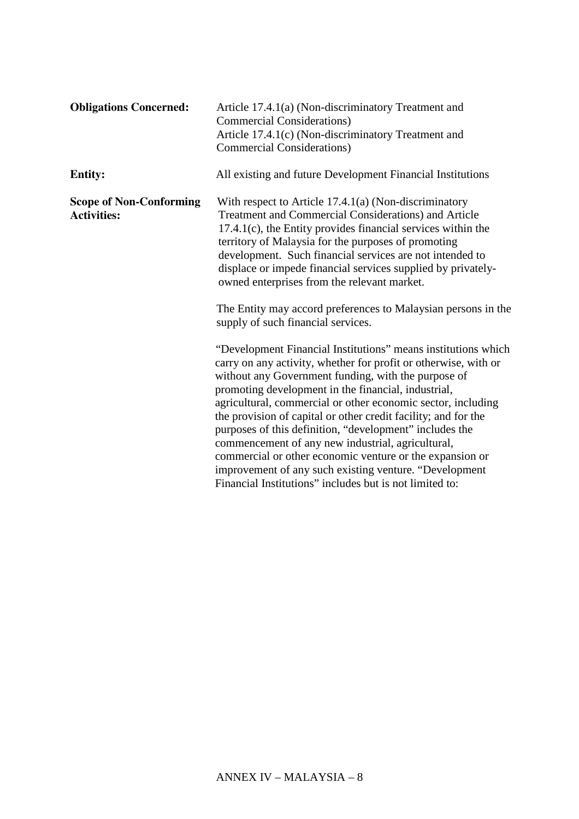| <b>Entity:</b><br>All existing and future Development Financial Institutions<br><b>Scope of Non-Conforming</b><br>With respect to Article $17.4.1(a)$ (Non-discriminatory<br>Treatment and Commercial Considerations) and Article<br><b>Activities:</b><br>$17.4.1(c)$ , the Entity provides financial services within the<br>territory of Malaysia for the purposes of promoting<br>development. Such financial services are not intended to<br>displace or impede financial services supplied by privately-<br>owned enterprises from the relevant market.<br>The Entity may accord preferences to Malaysian persons in the<br>supply of such financial services.<br>"Development Financial Institutions" means institutions which<br>carry on any activity, whether for profit or otherwise, with or<br>without any Government funding, with the purpose of<br>promoting development in the financial, industrial,<br>agricultural, commercial or other economic sector, including<br>the provision of capital or other credit facility; and for the<br>purposes of this definition, "development" includes the<br>commencement of any new industrial, agricultural,<br>commercial or other economic venture or the expansion or<br>improvement of any such existing venture. "Development, 146531(p)6(y)-0,2<br>Financial Institutions" includes but isomoniiin(i)idd21b70d (490.14657)-0.13643 | <b>Obligations Concerned:</b> | Article 17.4.1(a) (Non-discriminatory Treatment and<br><b>Commercial Considerations</b> )<br>Article 17.4.1(c) (Non-discriminatory Treatment and<br><b>Commercial Considerations</b> ) |
|-----------------------------------------------------------------------------------------------------------------------------------------------------------------------------------------------------------------------------------------------------------------------------------------------------------------------------------------------------------------------------------------------------------------------------------------------------------------------------------------------------------------------------------------------------------------------------------------------------------------------------------------------------------------------------------------------------------------------------------------------------------------------------------------------------------------------------------------------------------------------------------------------------------------------------------------------------------------------------------------------------------------------------------------------------------------------------------------------------------------------------------------------------------------------------------------------------------------------------------------------------------------------------------------------------------------------------------------------------------------------------------------------------|-------------------------------|----------------------------------------------------------------------------------------------------------------------------------------------------------------------------------------|
|                                                                                                                                                                                                                                                                                                                                                                                                                                                                                                                                                                                                                                                                                                                                                                                                                                                                                                                                                                                                                                                                                                                                                                                                                                                                                                                                                                                                     |                               |                                                                                                                                                                                        |
|                                                                                                                                                                                                                                                                                                                                                                                                                                                                                                                                                                                                                                                                                                                                                                                                                                                                                                                                                                                                                                                                                                                                                                                                                                                                                                                                                                                                     |                               |                                                                                                                                                                                        |